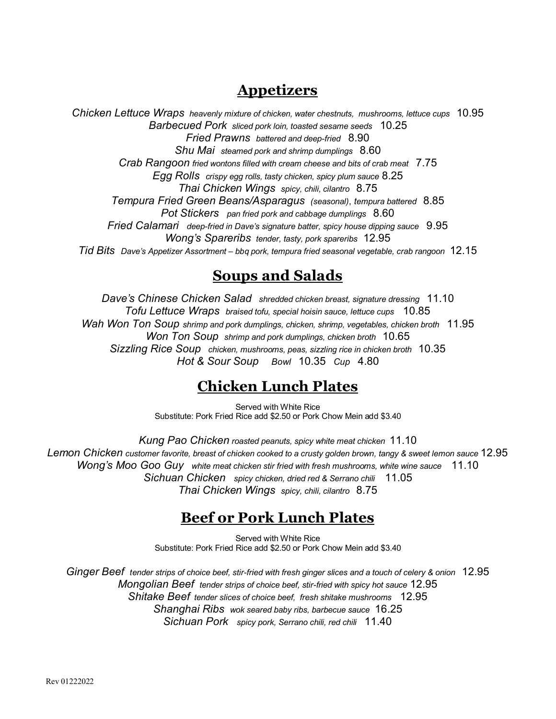# **Appetizers**

*Chicken Lettuce Wraps heavenly mixture of chicken, water chestnuts, mushrooms, lettuce cups* 10.95 *Barbecued Pork sliced pork loin, toasted sesame seeds* 10.25 *Fried Prawns battered and deep-fried* 8.90 *Shu Mai steamed pork and shrimp dumplings* 8.60 *Crab Rangoon fried wontons filled with cream cheese and bits of crab meat* 7.75 *Egg Rolls crispy egg rolls, tasty chicken, spicy plum sauce* 8.25 *Thai Chicken Wings spicy, chili, cilantro* 8.75 *Tempura Fried Green Beans/Asparagus (seasonal)*, *tempura battered* 8.85 *Pot Stickers pan fried pork and cabbage dumplings* 8.60 *Fried Calamari deep-fried in Dave's signature batter, spicy house dipping sauce* 9.95 *Wong's Spareribs tender, tasty, pork spareribs* 12.95 *Tid Bits Dave's Appetizer Assortment* – *bbq pork, tempura fried seasonal vegetable, crab rangoon* 12.15

# **Soups and Salads**

*Dave's Chinese Chicken Salad shredded chicken breast, signature dressing* 11.10 *Tofu Lettuce Wraps braised tofu, special hoisin sauce, lettuce cups* 10.85 *Wah Won Ton Soup shrimp and pork dumplings, chicken, shrimp, vegetables, chicken broth* 11.95 *Won Ton Soup shrimp and pork dumplings, chicken broth* 10.65 *Sizzling Rice Soup chicken, mushrooms, peas, sizzling rice in chicken broth* 10.35 *Hot & Sour Soup Bowl* 10.35 *Cup* 4.80

# **Chicken Lunch Plates**

Served with White Rice Substitute: Pork Fried Rice add \$2.50 or Pork Chow Mein add \$3.40

*Kung Pao Chicken roasted peanuts, spicy white meat chicken* 11.10 *Lemon Chicken customer favorite, breast of chicken cooked to a crusty golden brown, tangy & sweet lemon sauce* 12.95 *Wong's Moo Goo Guy white meat chicken stir fried with fresh mushrooms, white wine sauce* 11.10 *Sichuan Chicken spicy chicken, dried red & Serrano chili* 11.05 *Thai Chicken Wings spicy, chili, cilantro* 8.75

# **Beef or Pork Lunch Plates**

Served with White Rice Substitute: Pork Fried Rice add \$2.50 or Pork Chow Mein add \$3.40

*Ginger Beef tender strips of choice beef, stir-fried with fresh ginger slices and a touch of celery & onion* 12.95 *Mongolian Beef tender strips of choice beef, stir-fried with spicy hot sauce* 12.95 *Shitake Beef tender slices of choice beef, fresh shitake mushrooms* 12.95 *Shanghai Ribs wok seared baby ribs, barbecue sauce* 16.25 *Sichuan Pork spicy pork, Serrano chili, red chili* 11.40